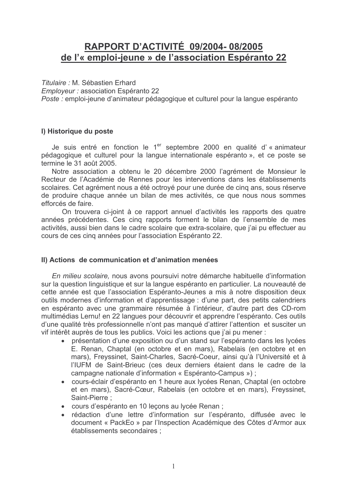# **RAPPORT D'ACTIVITÉ 09/2004-08/2005** de l'« emploi-jeune » de l'association Espéranto 22

Titulaire : M. Sébastien Erhard

Employeur : association Espéranto 22

Poste : emploi-jeune d'animateur pédagogique et culturel pour la langue espéranto

#### I) Historique du poste

Je suis entré en fonction le 1<sup>er</sup> septembre 2000 en qualité d'« animateur pédagogique et culturel pour la langue internationale espéranto », et ce poste se termine le 31 août 2005.

Notre association a obtenu le 20 décembre 2000 l'agrément de Monsieur le Recteur de l'Académie de Rennes pour les interventions dans les établissements scolaires. Cet agrément nous a été octroyé pour une durée de cinq ans, sous réserve de produire chaque année un bilan de mes activités, ce que nous nous sommes efforcés de faire.

On trouvera ci-joint à ce rapport annuel d'activités les rapports des quatre années précédentes. Ces cinq rapports forment le bilan de l'ensemble de mes activités, aussi bien dans le cadre scolaire que extra-scolaire, que j'ai pu effectuer au cours de ces cinq années pour l'association Espéranto 22.

## II) Actions de communication et d'animation menées

En milieu scolaire, nous avons poursuivi notre démarche habituelle d'information sur la question linguistique et sur la langue espéranto en particulier. La nouveauté de cette année est que l'association Espéranto-Jeunes a mis à notre disposition deux outils modernes d'information et d'apprentissage : d'une part, des petits calendriers en espéranto avec une grammaire résumée à l'intérieur, d'autre part des CD-rom multimédias Lernu! en 22 langues pour découvrir et apprendre l'espéranto. Ces outils d'une qualité très professionnelle n'ont pas manqué d'attirer l'attention et susciter un vif intérêt auprès de tous les publics. Voici les actions que j'ai pu mener :

- présentation d'une exposition ou d'un stand sur l'espéranto dans les lycées E. Renan, Chaptal (en octobre et en mars), Rabelais (en octobre et en mars), Freyssinet, Saint-Charles, Sacré-Coeur, ainsi qu'à l'Université et à l'IUFM de Saint-Brieuc (ces deux derniers étaient dans le cadre de la campagne nationale d'information « Espéranto-Campus ») ;
- cours-éclair d'espéranto en 1 heure aux lycées Renan, Chaptal (en octobre et en mars), Sacré-Cœur, Rabelais (en octobre et en mars), Freyssinet, Saint-Pierre:
- cours d'espéranto en 10 leçons au lycée Renan ;
- · rédaction d'une lettre d'information sur l'espéranto, diffusée avec le document « PackEo » par l'Inspection Académique des Côtes d'Armor aux établissements secondaires :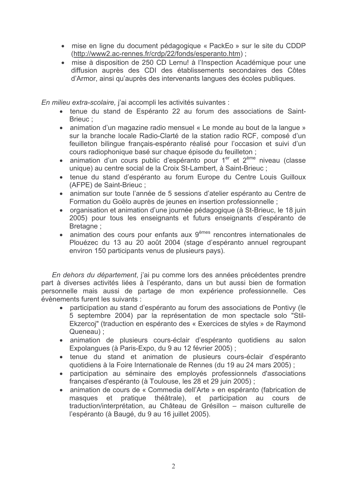- · mise en ligne du document pédagogique « PackEo » sur le site du CDDP (http://www2.ac-rennes.fr/crdp/22/fonds/esperanto.htm);
- · mise à disposition de 250 CD Lernu! à l'Inspection Académique pour une diffusion auprès des CDI des établissements secondaires des Côtes d'Armor, ainsi qu'auprès des intervenants langues des écoles publiques.

En milieu extra-scolaire, i'ai accompli les activités suivantes :

- · tenue du stand de Espéranto 22 au forum des associations de Saint-Brieuc:
- animation d'un magazine radio mensuel « Le monde au bout de la langue » sur la branche locale Radio-Clarté de la station radio RCF, composé d'un feuilleton bilinque français-espéranto réalisé pour l'occasion et suivi d'un cours radiophonique basé sur chaque épisode du feuilleton ;
- · animation d'un cours public d'espéranto pour 1<sup>er</sup> et 2<sup>ème</sup> niveau (classe unique) au centre social de la Croix St-Lambert, à Saint-Brieuc;
- · tenue du stand d'espéranto au forum Europe du Centre Louis Guilloux (AFPE) de Saint-Brieuc;
- · animation sur toute l'année de 5 sessions d'atelier espéranto au Centre de Formation du Goëlo auprès de jeunes en insertion professionnelle ;
- organisation et animation d'une journée pédagogique (à St-Brieuc, le 18 juin 2005) pour tous les enseignants et futurs enseignants d'espéranto de Bretagne ;
- animation des cours pour enfants aux 9<sup>èmes</sup> rencontres internationales de Plouézec du 13 au 20 août 2004 (stage d'espéranto annuel regroupant environ 150 participants venus de plusieurs pays).

En dehors du département, j'ai pu comme lors des années précédentes prendre part à diverses activités liées à l'espéranto, dans un but aussi bien de formation personnelle mais aussi de partage de mon expérience professionnelle. Ces évènements furent les suivants :

- participation au stand d'espéranto au forum des associations de Pontivy (le 5 septembre 2004) par la représentation de mon spectacle solo "Stil-Ekzercoj" (traduction en espéranto des « Exercices de styles » de Raymond Queneau):
- · animation de plusieurs cours-éclair d'espéranto quotidiens au salon Expolangues (à Paris-Expo, du 9 au 12 février 2005) ;
- · tenue du stand et animation de plusieurs cours-éclair d'espéranto quotidiens à la Foire Internationale de Rennes (du 19 au 24 mars 2005);
- participation au séminaire des employés professionnels d'associations françaises d'espéranto (à Toulouse, les 28 et 29 juin 2005) ;
- animation de cours de « Commedia dell'Arte » en espéranto (fabrication de masques et pratique théâtrale), et participation au cours de traduction/interprétation, au Château de Grésillon - maison culturelle de l'espéranto (à Baugé, du 9 au 16 juillet 2005).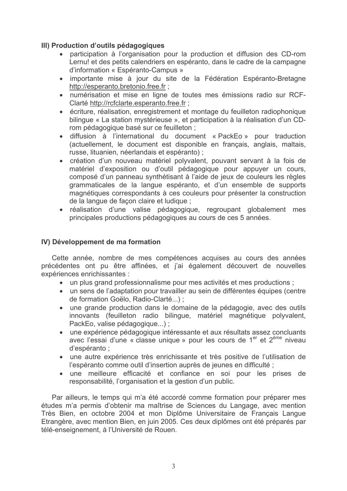### III) Production d'outils pédagogiques

- participation à l'organisation pour la production et diffusion des CD-rom Lernu! et des petits calendriers en espéranto, dans le cadre de la campagne d'information « Espéranto-Campus »
- · importante mise à jour du site de la Fédération Espéranto-Bretagne http://esperanto.bretonio.free.fr:
- numérisation et mise en ligne de toutes mes émissions radio sur RCF-Clarté http://rcfclarte.esperanto.free.fr;
- écriture, réalisation, enregistrement et montage du feuilleton radiophonique bilingue « La station mystérieuse », et participation à la réalisation d'un CDrom pédagogique basé sur ce feuilleton ;
- diffusion à l'international du document « PackEo » pour traduction (actuellement, le document est disponible en français, anglais, maltais, russe, lituanien, néerlandais et espéranto) ;
- création d'un nouveau matériel polyvalent, pouvant servant à la fois de matériel d'exposition ou d'outil pédagogique pour appuyer un cours, composé d'un panneau synthétisant à l'aide de jeux de couleurs les règles grammaticales de la langue espéranto, et d'un ensemble de supports magnétiques correspondants à ces couleurs pour présenter la construction de la langue de facon claire et ludique :
- · réalisation d'une valise pédagogique, regroupant globalement mes principales productions pédagogiques au cours de ces 5 années.

#### IV) Développement de ma formation

Cette année, nombre de mes compétences acquises au cours des années précédentes ont pu être affinées, et j'ai également découvert de nouvelles expériences enrichissantes :

- un plus grand professionnalisme pour mes activités et mes productions;
- un sens de l'adaptation pour travailler au sein de différentes équipes (centre de formation Goëlo, Radio-Clarté...);
- une grande production dans le domaine de la pédagogie, avec des outils innovants (feuilleton radio bilingue, matériel magnétique polyvalent, PackEo, valise pédagogique...);
- une expérience pédagogique intéressante et aux résultats assez concluants avec l'essai d'une « classe unique » pour les cours de 1er et 2<sup>ème</sup> niveau d'espéranto :
- une autre expérience très enrichissante et très positive de l'utilisation de l'espéranto comme outil d'insertion auprès de jeunes en difficulté ;
- · une meilleure efficacité et confiance en soi pour les prises de responsabilité, l'organisation et la gestion d'un public.

Par ailleurs, le temps qui m'a été accordé comme formation pour préparer mes études m'a permis d'obtenir ma maîtrise de Sciences du Langage, avec mention Très Bien, en octobre 2004 et mon Diplôme Universitaire de Français Langue Etrangère, avec mention Bien, en juin 2005. Ces deux diplômes ont été préparés par télé-enseignement, à l'Université de Rouen.